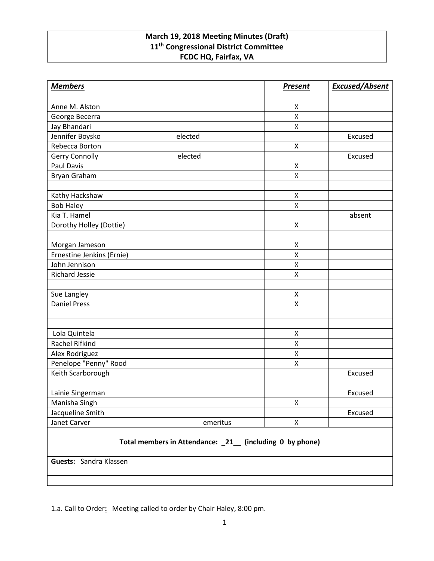# **March 19, 2018 Meeting Minutes (Draft) 11th Congressional District Committee FCDC HQ, Fairfax, VA**

| <b>Members</b>                                           | <b>Present</b>     | <b>Excused/Absent</b> |
|----------------------------------------------------------|--------------------|-----------------------|
| Anne M. Alston                                           | X                  |                       |
| George Becerra                                           | $\pmb{\mathsf{X}}$ |                       |
| Jay Bhandari                                             | $\pmb{\mathsf{X}}$ |                       |
| Jennifer Boysko<br>elected                               |                    | Excused               |
| Rebecca Borton                                           | $\mathsf{X}$       |                       |
| Gerry Connolly<br>elected                                |                    | Excused               |
| <b>Paul Davis</b>                                        | X                  |                       |
| Bryan Graham                                             | X                  |                       |
|                                                          |                    |                       |
| Kathy Hackshaw                                           | X                  |                       |
| <b>Bob Haley</b>                                         | $\pmb{\mathsf{X}}$ |                       |
| Kia T. Hamel                                             |                    | absent                |
| Dorothy Holley (Dottie)                                  | X                  |                       |
|                                                          |                    |                       |
| Morgan Jameson                                           | X                  |                       |
| Ernestine Jenkins (Ernie)                                | X                  |                       |
| John Jennison                                            | $\pmb{\mathsf{X}}$ |                       |
| <b>Richard Jessie</b>                                    | X                  |                       |
|                                                          |                    |                       |
| Sue Langley                                              | $\pmb{\mathsf{X}}$ |                       |
| <b>Daniel Press</b>                                      | X                  |                       |
|                                                          |                    |                       |
|                                                          |                    |                       |
| Lola Quintela                                            | X                  |                       |
| Rachel Rifkind                                           | $\pmb{\mathsf{X}}$ |                       |
| Alex Rodriguez                                           | $\pmb{\mathsf{X}}$ |                       |
| Penelope "Penny" Rood                                    | X                  |                       |
| Keith Scarborough                                        |                    | Excused               |
| Lainie Singerman                                         |                    | Excused               |
| Manisha Singh                                            | X                  |                       |
| Jacqueline Smith                                         |                    | Excused               |
| Janet Carver<br>emeritus                                 | $\pmb{\mathsf{X}}$ |                       |
| Total members in Attendance: _21_ (including 0 by phone) |                    |                       |
| Guests: Sandra Klassen                                   |                    |                       |
|                                                          |                    |                       |

1.a. Call to Order**:** Meeting called to order by Chair Haley, 8:00 pm.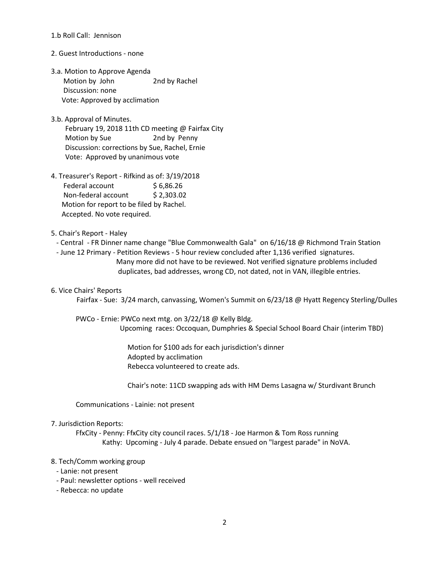## 1.b Roll Call: Jennison

## 2. Guest Introductions - none

- 3.a. Motion to Approve Agenda Motion by John 2nd by Rachel Discussion: none Vote: Approved by acclimation
- 3.b. Approval of Minutes. February 19, 2018 11th CD meeting @ Fairfax City Motion by Sue 2nd by Penny Discussion: corrections by Sue, Rachel, Ernie Vote: Approved by unanimous vote
- 4. Treasurer's Report Rifkind as of: 3/19/2018 Federal account \$6,86.26 Non-federal account \$ 2,303.02 Motion for report to be filed by Rachel. Accepted. No vote required.

## 5. Chair's Report - Haley

- Central FR Dinner name change "Blue Commonwealth Gala" on 6/16/18 @ Richmond Train Station
- June 12 Primary Petition Reviews 5 hour review concluded after 1,136 verified signatures. Many more did not have to be reviewed. Not verified signature problems included duplicates, bad addresses, wrong CD, not dated, not in VAN, illegible entries.

## 6. Vice Chairs' Reports

Fairfax - Sue: 3/24 march, canvassing, Women's Summit on 6/23/18 @ Hyatt Regency Sterling/Dulles

 PWCo - Ernie: PWCo next mtg. on 3/22/18 @ Kelly Bldg. Upcoming races: Occoquan, Dumphries & Special School Board Chair (interim TBD)

> Motion for \$100 ads for each jurisdiction's dinner Adopted by acclimation Rebecca volunteered to create ads.

Chair's note: 11CD swapping ads with HM Dems Lasagna w/ Sturdivant Brunch

Communications - Lainie: not present

## 7. Jurisdiction Reports:

 FfxCity - Penny: FfxCity city council races. 5/1/18 - Joe Harmon & Tom Ross running Kathy: Upcoming - July 4 parade. Debate ensued on "largest parade" in NoVA.

## 8. Tech/Comm working group

- Lanie: not present
- Paul: newsletter options well received
- Rebecca: no update